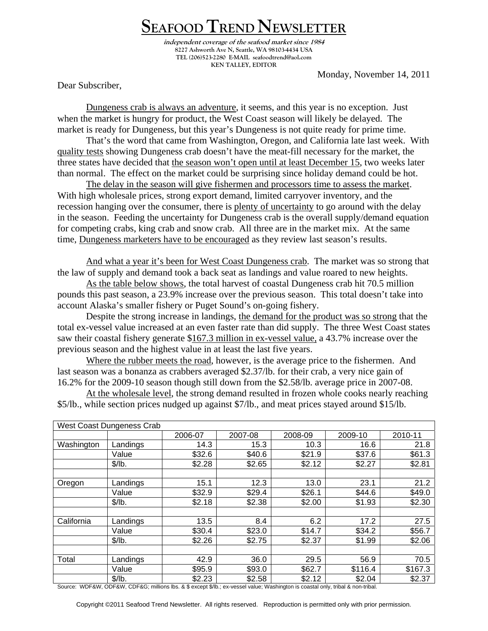## **SEAFOOD TREND NEWSLETTER**

**independent coverage of the seafood market since 1984 8227 Ashworth Ave N, Seattle, WA 98103-4434 USA TEL (206)523-2280 E-MAIL seafoodtrend@aol.com KEN TALLEY, EDITOR** 

Monday, November 14, 2011

Dear Subscriber,

Dungeness crab is always an adventure, it seems, and this year is no exception. Just when the market is hungry for product, the West Coast season will likely be delayed. The market is ready for Dungeness, but this year's Dungeness is not quite ready for prime time.

 That's the word that came from Washington, Oregon, and California late last week. With quality tests showing Dungeness crab doesn't have the meat-fill necessary for the market, the three states have decided that the season won't open until at least December 15, two weeks later than normal. The effect on the market could be surprising since holiday demand could be hot.

The delay in the season will give fishermen and processors time to assess the market. With high wholesale prices, strong export demand, limited carryover inventory, and the recession hanging over the consumer, there is plenty of uncertainty to go around with the delay in the season. Feeding the uncertainty for Dungeness crab is the overall supply/demand equation for competing crabs, king crab and snow crab. All three are in the market mix. At the same time, Dungeness marketers have to be encouraged as they review last season's results.

And what a year it's been for West Coast Dungeness crab. The market was so strong that the law of supply and demand took a back seat as landings and value roared to new heights.

As the table below shows, the total harvest of coastal Dungeness crab hit 70.5 million pounds this past season, a 23.9% increase over the previous season. This total doesn't take into account Alaska's smaller fishery or Puget Sound's on-going fishery.

 Despite the strong increase in landings, the demand for the product was so strong that the total ex-vessel value increased at an even faster rate than did supply. The three West Coast states saw their coastal fishery generate \$167.3 million in ex-vessel value, a 43.7% increase over the previous season and the highest value in at least the last five years.

Where the rubber meets the road, however, is the average price to the fishermen. And last season was a bonanza as crabbers averaged \$2.37/lb. for their crab, a very nice gain of 16.2% for the 2009-10 season though still down from the \$2.58/lb. average price in 2007-08.

At the wholesale level, the strong demand resulted in frozen whole cooks nearly reaching \$5/lb., while section prices nudged up against \$7/lb., and meat prices stayed around \$15/lb.

| West Coast Dungeness Crab |          |         |         |         |         |         |  |  |
|---------------------------|----------|---------|---------|---------|---------|---------|--|--|
|                           |          | 2006-07 | 2007-08 | 2008-09 | 2009-10 | 2010-11 |  |  |
| Washington                | Landings | 14.3    | 15.3    | 10.3    | 16.6    | 21.8    |  |  |
|                           | Value    | \$32.6  | \$40.6  | \$21.9  | \$37.6  | \$61.3  |  |  |
|                           | \$/lb.   | \$2.28  | \$2.65  | \$2.12  | \$2.27  | \$2.81  |  |  |
|                           |          |         |         |         |         |         |  |  |
| Oregon                    | Landings | 15.1    | 12.3    | 13.0    | 23.1    | 21.2    |  |  |
|                           | Value    | \$32.9  | \$29.4  | \$26.1  | \$44.6  | \$49.0  |  |  |
|                           | \$/lb.   | \$2.18  | \$2.38  | \$2.00  | \$1.93  | \$2.30  |  |  |
|                           |          |         |         |         |         |         |  |  |
| California                | Landings | 13.5    | 8.4     | 6.2     | 17.2    | 27.5    |  |  |
|                           | Value    | \$30.4  | \$23.0  | \$14.7  | \$34.2  | \$56.7  |  |  |
|                           | \$/lb.   | \$2.26  | \$2.75  | \$2.37  | \$1.99  | \$2.06  |  |  |
|                           |          |         |         |         |         |         |  |  |
| Total                     | Landings | 42.9    | 36.0    | 29.5    | 56.9    | 70.5    |  |  |
|                           | Value    | \$95.9  | \$93.0  | \$62.7  | \$116.4 | \$167.3 |  |  |
|                           | \$/lb.   | \$2.23  | \$2.58  | \$2.12  | \$2.04  | \$2.37  |  |  |

Source: WDF&W, ODF&W, CDF&G; millions lbs. & \$ except \$/lb.; ex-vessel value; Washington is coastal only, tribal & non-tribal.

Copyright ©2011 Seafood Trend Newsletter. All rights reserved. Reproduction is permitted only with prior permission.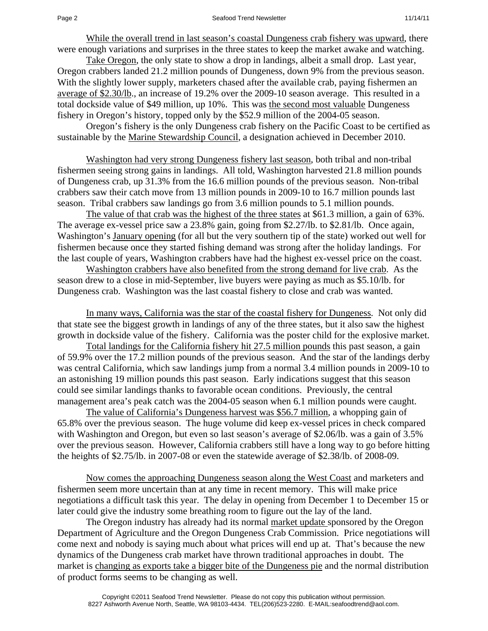While the overall trend in last season's coastal Dungeness crab fishery was upward, there were enough variations and surprises in the three states to keep the market awake and watching.

Take Oregon, the only state to show a drop in landings, albeit a small drop. Last year, Oregon crabbers landed 21.2 million pounds of Dungeness, down 9% from the previous season. With the slightly lower supply, marketers chased after the available crab, paying fishermen an average of \$2.30/lb., an increase of 19.2% over the 2009-10 season average. This resulted in a total dockside value of \$49 million, up 10%. This was the second most valuable Dungeness fishery in Oregon's history, topped only by the \$52.9 million of the 2004-05 season.

 Oregon's fishery is the only Dungeness crab fishery on the Pacific Coast to be certified as sustainable by the Marine Stewardship Council, a designation achieved in December 2010.

Washington had very strong Dungeness fishery last season, both tribal and non-tribal fishermen seeing strong gains in landings. All told, Washington harvested 21.8 million pounds of Dungeness crab, up 31.3% from the 16.6 million pounds of the previous season. Non-tribal crabbers saw their catch move from 13 million pounds in 2009-10 to 16.7 million pounds last season. Tribal crabbers saw landings go from 3.6 million pounds to 5.1 million pounds.

The value of that crab was the highest of the three states at \$61.3 million, a gain of 63%. The average ex-vessel price saw a 23.8% gain, going from \$2.27/lb. to \$2.81/lb. Once again, Washington's January opening (for all but the very southern tip of the state) worked out well for fishermen because once they started fishing demand was strong after the holiday landings. For the last couple of years, Washington crabbers have had the highest ex-vessel price on the coast.

Washington crabbers have also benefited from the strong demand for live crab. As the season drew to a close in mid-September, live buyers were paying as much as \$5.10/lb. for Dungeness crab. Washington was the last coastal fishery to close and crab was wanted.

In many ways, California was the star of the coastal fishery for Dungeness. Not only did that state see the biggest growth in landings of any of the three states, but it also saw the highest growth in dockside value of the fishery. California was the poster child for the explosive market.

Total landings for the California fishery hit 27.5 million pounds this past season, a gain of 59.9% over the 17.2 million pounds of the previous season. And the star of the landings derby was central California, which saw landings jump from a normal 3.4 million pounds in 2009-10 to an astonishing 19 million pounds this past season. Early indications suggest that this season could see similar landings thanks to favorable ocean conditions. Previously, the central management area's peak catch was the 2004-05 season when 6.1 million pounds were caught.

The value of California's Dungeness harvest was \$56.7 million, a whopping gain of 65.8% over the previous season. The huge volume did keep ex-vessel prices in check compared with Washington and Oregon, but even so last season's average of \$2.06/lb. was a gain of 3.5% over the previous season. However, California crabbers still have a long way to go before hitting the heights of \$2.75/lb. in 2007-08 or even the statewide average of \$2.38/lb. of 2008-09.

Now comes the approaching Dungeness season along the West Coast and marketers and fishermen seem more uncertain than at any time in recent memory. This will make price negotiations a difficult task this year. The delay in opening from December 1 to December 15 or later could give the industry some breathing room to figure out the lay of the land.

 The Oregon industry has already had its normal market update sponsored by the Oregon Department of Agriculture and the Oregon Dungeness Crab Commission. Price negotiations will come next and nobody is saying much about what prices will end up at. That's because the new dynamics of the Dungeness crab market have thrown traditional approaches in doubt. The market is changing as exports take a bigger bite of the Dungeness pie and the normal distribution of product forms seems to be changing as well.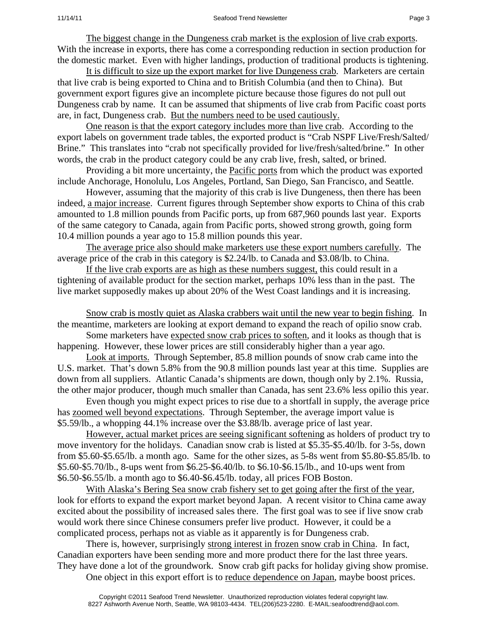The biggest change in the Dungeness crab market is the explosion of live crab exports. With the increase in exports, there has come a corresponding reduction in section production for the domestic market. Even with higher landings, production of traditional products is tightening.

It is difficult to size up the export market for live Dungeness crab. Marketers are certain that live crab is being exported to China and to British Columbia (and then to China). But government export figures give an incomplete picture because those figures do not pull out Dungeness crab by name. It can be assumed that shipments of live crab from Pacific coast ports are, in fact, Dungeness crab. But the numbers need to be used cautiously.

One reason is that the export category includes more than live crab. According to the export labels on government trade tables, the exported product is "Crab NSPF Live/Fresh/Salted/ Brine." This translates into "crab not specifically provided for live/fresh/salted/brine." In other words, the crab in the product category could be any crab live, fresh, salted, or brined.

 Providing a bit more uncertainty, the Pacific ports from which the product was exported include Anchorage, Honolulu, Los Angeles, Portland, San Diego, San Francisco, and Seattle.

 However, assuming that the majority of this crab is live Dungeness, then there has been indeed, a major increase. Current figures through September show exports to China of this crab amounted to 1.8 million pounds from Pacific ports, up from 687,960 pounds last year. Exports of the same category to Canada, again from Pacific ports, showed strong growth, going form 10.4 million pounds a year ago to 15.8 million pounds this year.

The average price also should make marketers use these export numbers carefully. The average price of the crab in this category is \$2.24/lb. to Canada and \$3.08/lb. to China.

If the live crab exports are as high as these numbers suggest, this could result in a tightening of available product for the section market, perhaps 10% less than in the past. The live market supposedly makes up about 20% of the West Coast landings and it is increasing.

Snow crab is mostly quiet as Alaska crabbers wait until the new year to begin fishing. In the meantime, marketers are looking at export demand to expand the reach of opilio snow crab.

 Some marketers have expected snow crab prices to soften, and it looks as though that is happening. However, these lower prices are still considerably higher than a year ago.

Look at imports. Through September, 85.8 million pounds of snow crab came into the U.S. market. That's down 5.8% from the 90.8 million pounds last year at this time. Supplies are down from all suppliers. Atlantic Canada's shipments are down, though only by 2.1%. Russia, the other major producer, though much smaller than Canada, has sent 23.6% less opilio this year.

 Even though you might expect prices to rise due to a shortfall in supply, the average price has <u>zoomed well beyond expectations</u>. Through September, the average import value is \$5.59/lb., a whopping 44.1% increase over the \$3.88/lb. average price of last year.

However, actual market prices are seeing significant softening as holders of product try to move inventory for the holidays. Canadian snow crab is listed at \$5.35-\$5.40/lb. for 3-5s, down from \$5.60-\$5.65/lb. a month ago. Same for the other sizes, as 5-8s went from \$5.80-\$5.85/lb. to \$5.60-\$5.70/lb., 8-ups went from \$6.25-\$6.40/lb. to \$6.10-\$6.15/lb., and 10-ups went from \$6.50-\$6.55/lb. a month ago to \$6.40-\$6.45/lb. today, all prices FOB Boston.

With Alaska's Bering Sea snow crab fishery set to get going after the first of the year, look for efforts to expand the export market beyond Japan. A recent visitor to China came away excited about the possibility of increased sales there. The first goal was to see if live snow crab would work there since Chinese consumers prefer live product. However, it could be a complicated process, perhaps not as viable as it apparently is for Dungeness crab.

 There is, however, surprisingly strong interest in frozen snow crab in China. In fact, Canadian exporters have been sending more and more product there for the last three years. They have done a lot of the groundwork. Snow crab gift packs for holiday giving show promise.

One object in this export effort is to reduce dependence on Japan, maybe boost prices.